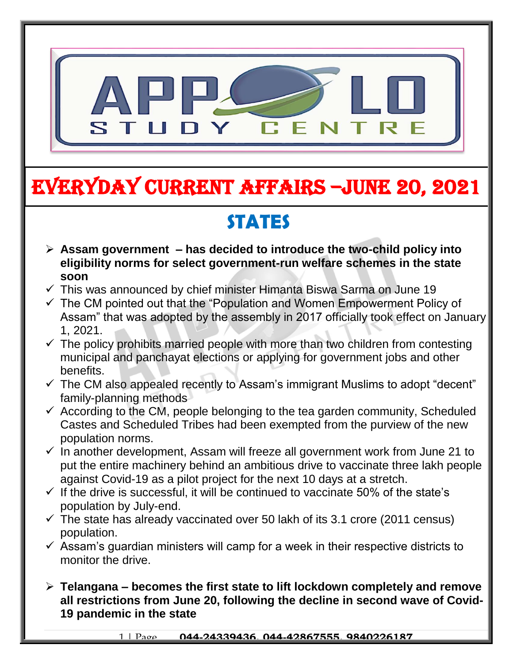

# EVERYDAY CURRENT AFFAIRS –jUNE 20, 2021

## **STATES**

- **Assam government – has decided to introduce the two-child policy into eligibility norms for select government-run welfare schemes in the state soon**
- $\checkmark$  This was announced by chief minister Himanta Biswa Sarma on June 19

-

- $\checkmark$  The CM pointed out that the "Population and Women Empowerment Policy of Assam" that was adopted by the assembly in 2017 officially took effect on January 1, 2021.
- $\checkmark$  The policy prohibits married people with more than two children from contesting municipal and panchayat elections or applying for government jobs and other benefits.
- $\checkmark$  The CM also appealed recently to Assam's immigrant Muslims to adopt "decent" family-planning methods
- $\checkmark$  According to the CM, people belonging to the tea garden community, Scheduled Castes and Scheduled Tribes had been exempted from the purview of the new population norms.
- $\checkmark$  In another development, Assam will freeze all government work from June 21 to put the entire machinery behind an ambitious drive to vaccinate three lakh people against Covid-19 as a pilot project for the next 10 days at a stretch.
- $\checkmark$  If the drive is successful, it will be continued to vaccinate 50% of the state's population by July-end.
- $\checkmark$  The state has already vaccinated over 50 lakh of its 3.1 crore (2011 census) population.
- $\checkmark$  Assam's guardian ministers will camp for a week in their respective districts to monitor the drive.
- **Telangana – becomes the first state to lift lockdown completely and remove all restrictions from June 20, following the decline in second wave of Covid-19 pandemic in the state**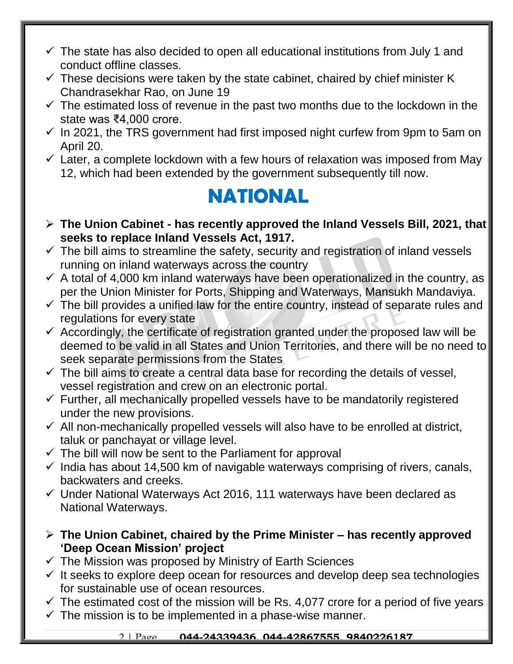- $\checkmark$  The state has also decided to open all educational institutions from July 1 and conduct offline classes.
- $\checkmark$  These decisions were taken by the state cabinet, chaired by chief minister K Chandrasekhar Rao, on June 19
- $\checkmark$  The estimated loss of revenue in the past two months due to the lockdown in the state was ₹4,000 crore.
- $\checkmark$  In 2021, the TRS government had first imposed night curfew from 9pm to 5am on April 20.
- $\checkmark$  Later, a complete lockdown with a few hours of relaxation was imposed from May 12, which had been extended by the government subsequently till now.

### **NATIONAL**

- **The Union Cabinet - has recently approved the Inland Vessels Bill, 2021, that seeks to replace Inland Vessels Act, 1917.**
- $\checkmark$  The bill aims to streamline the safety, security and registration of inland vessels running on inland waterways across the country
- $\checkmark$  A total of 4,000 km inland waterways have been operationalized in the country, as per the Union Minister for Ports, Shipping and Waterways, Mansukh Mandaviya.
- $\checkmark$  The bill provides a unified law for the entire country, instead of separate rules and regulations for every state
- $\checkmark$  Accordingly, the certificate of registration granted under the proposed law will be deemed to be valid in all States and Union Territories, and there will be no need to seek separate permissions from the States
- $\checkmark$  The bill aims to create a central data base for recording the details of vessel, vessel registration and crew on an electronic portal.
- $\checkmark$  Further, all mechanically propelled vessels have to be mandatorily registered under the new provisions.
- $\checkmark$  All non-mechanically propelled vessels will also have to be enrolled at district, taluk or panchayat or village level.
- $\checkmark$  The bill will now be sent to the Parliament for approval
- $\checkmark$  India has about 14,500 km of navigable waterways comprising of rivers, canals, backwaters and creeks.
- $\checkmark$  Under National Waterways Act 2016, 111 waterways have been declared as National Waterways.
- **The Union Cabinet, chaired by the Prime Minister – has recently approved 'Deep Ocean Mission' project**
- $\checkmark$  The Mission was proposed by Ministry of Earth Sciences
- $\checkmark$  It seeks to explore deep ocean for resources and develop deep sea technologies for sustainable use of ocean resources.
- $\checkmark$  The estimated cost of the mission will be Rs. 4,077 crore for a period of five years
- $\checkmark$  The mission is to be implemented in a phase-wise manner.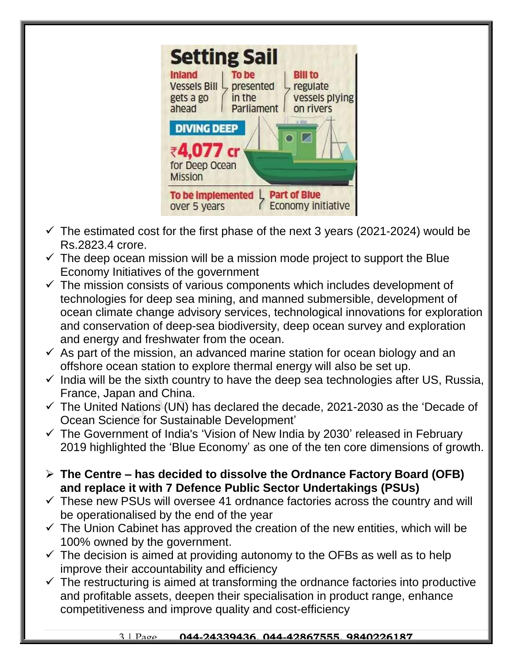|                                                                     | <b>Setting Sail</b>                        |                                                           |
|---------------------------------------------------------------------|--------------------------------------------|-----------------------------------------------------------|
| <b>Inland</b><br><b>Vessels Bill</b><br>gets a go<br>ahead          | To be<br>presented<br>in the<br>Parliament | <b>Bill to</b><br>regulate<br>vessels plying<br>on rivers |
| <b>DIVING DEEP</b><br>₹4,077 cr<br>for Deep Ocean<br><b>Mission</b> |                                            |                                                           |
| To be implemented<br>over 5 years                                   |                                            | <b>Part of Blue</b><br>Economy initiative                 |

- $\checkmark$  The estimated cost for the first phase of the next 3 years (2021-2024) would be Rs.2823.4 crore.
- $\checkmark$  The deep ocean mission will be a mission mode project to support the Blue Economy Initiatives of the government
- $\checkmark$  The mission consists of various components which includes development of technologies for deep sea mining, and manned submersible, development of ocean climate change advisory services, technological innovations for exploration and conservation of deep-sea biodiversity, deep ocean survey and exploration and energy and freshwater from the ocean.
- $\checkmark$  As part of the mission, an advanced marine station for ocean biology and an offshore ocean station to explore thermal energy will also be set up.
- $\checkmark$  India will be the sixth country to have the deep sea technologies after US, Russia, France, Japan and China.
- $\checkmark$  The United Nations (UN) has declared the decade, 2021-2030 as the 'Decade of Ocean Science for Sustainable Development'
- $\checkmark$  The Government of India's 'Vision of New India by 2030' released in February 2019 highlighted the 'Blue Economy' as one of the ten core dimensions of growth.
- **The Centre – has decided to dissolve the Ordnance Factory Board (OFB) and replace it with 7 Defence Public Sector Undertakings (PSUs)**
- $\checkmark$  These new PSUs will oversee 41 ordnance factories across the country and will be operationalised by the end of the year
- $\checkmark$  The Union Cabinet has approved the creation of the new entities, which will be 100% owned by the government.
- $\checkmark$  The decision is aimed at providing autonomy to the OFBs as well as to help improve their accountability and efficiency
- $\checkmark$  The restructuring is aimed at transforming the ordnance factories into productive and profitable assets, deepen their specialisation in product range, enhance competitiveness and improve quality and cost-efficiency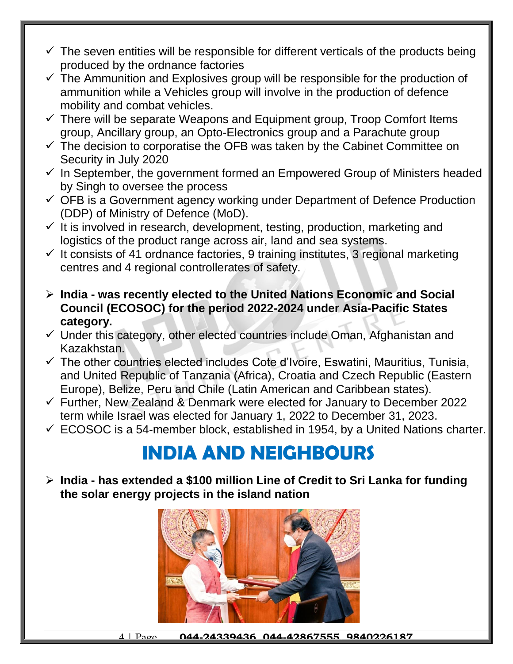- $\checkmark$  The seven entities will be responsible for different verticals of the products being produced by the ordnance factories
- $\checkmark$  The Ammunition and Explosives group will be responsible for the production of ammunition while a Vehicles group will involve in the production of defence mobility and combat vehicles.
- $\checkmark$  There will be separate Weapons and Equipment group, Troop Comfort Items group, Ancillary group, an Opto-Electronics group and a Parachute group
- $\checkmark$  The decision to corporatise the OFB was taken by the Cabinet Committee on Security in July 2020
- $\checkmark$  In September, the government formed an Empowered Group of Ministers headed by Singh to oversee the process
- $\checkmark$  OFB is a Government agency working under Department of Defence Production (DDP) of Ministry of Defence (MoD).
- $\checkmark$  It is involved in research, development, testing, production, marketing and logistics of the product range across air, land and sea systems.
- $\checkmark$  It consists of 41 ordnance factories, 9 training institutes, 3 regional marketing centres and 4 regional controllerates of safety.
- **India - was recently elected to the United Nations Economic and Social Council (ECOSOC) for the period 2022-2024 under Asia-Pacific States category.**
- $\checkmark$  Under this category, other elected countries include Oman, Afghanistan and Kazakhstan.
- $\checkmark$  The other countries elected includes Cote d'Ivoire, Eswatini, Mauritius, Tunisia, and United Republic of Tanzania (Africa), Croatia and Czech Republic (Eastern Europe), Belize, Peru and Chile (Latin American and Caribbean states).
- $\checkmark$  Further, New Zealand & Denmark were elected for January to December 2022 term while Israel was elected for January 1, 2022 to December 31, 2023.
- $\checkmark$  ECOSOC is a 54-member block, established in 1954, by a United Nations charter.

#### **INDIA AND NEIGHBOURS**

 **India - has extended a \$100 million Line of Credit to Sri Lanka for funding the solar energy projects in the island nation**

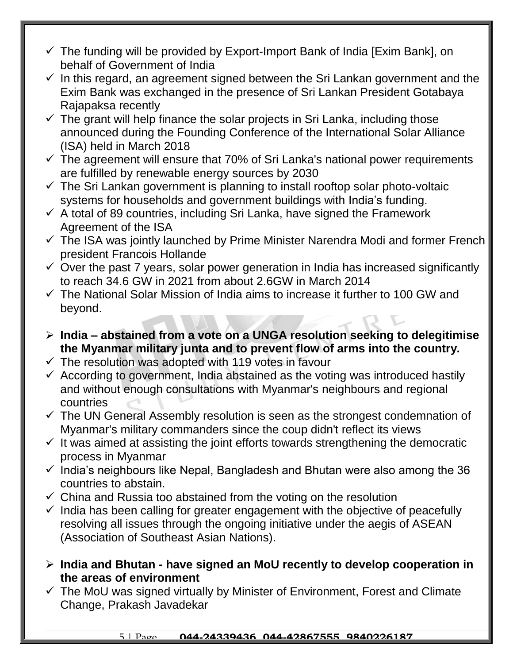- $\checkmark$  The funding will be provided by Export-Import Bank of India [Exim Bank], on behalf of Government of India
- $\checkmark$  In this regard, an agreement signed between the Sri Lankan government and the Exim Bank was exchanged in the presence of Sri Lankan President Gotabaya Rajapaksa recently
- $\checkmark$  The grant will help finance the solar projects in Sri Lanka, including those announced during the Founding Conference of the International Solar Alliance (ISA) held in March 2018
- $\checkmark$  The agreement will ensure that 70% of Sri Lanka's national power requirements are fulfilled by renewable energy sources by 2030
- $\checkmark$  The Sri Lankan government is planning to install rooftop solar photo-voltaic systems for households and government buildings with India's funding.
- $\checkmark$  A total of 89 countries, including Sri Lanka, have signed the Framework Agreement of the ISA
- $\checkmark$  The ISA was jointly launched by Prime Minister Narendra Modi and former French president Francois Hollande
- $\checkmark$  Over the past 7 years, solar power generation in India has increased significantly to reach 34.6 GW in 2021 from about 2.6GW in March 2014
- $\checkmark$  The National Solar Mission of India aims to increase it further to 100 GW and beyond.
- **India – abstained from a vote on a UNGA resolution seeking to delegitimise the Myanmar military junta and to prevent flow of arms into the country.**
- $\checkmark$  The resolution was adopted with 119 votes in favour
- $\checkmark$  According to government, India abstained as the voting was introduced hastily and without enough consultations with Myanmar's neighbours and regional countries
- $\checkmark$  The UN General Assembly resolution is seen as the strongest condemnation of Myanmar's military commanders since the coup didn't reflect its views
- $\checkmark$  It was aimed at assisting the joint efforts towards strengthening the democratic process in Myanmar
- $\checkmark$  India's neighbours like Nepal, Bangladesh and Bhutan were also among the 36 countries to abstain.
- $\checkmark$  China and Russia too abstained from the voting on the resolution
- $\checkmark$  India has been calling for greater engagement with the objective of peacefully resolving all issues through the ongoing initiative under the aegis of ASEAN (Association of Southeast Asian Nations).
- **India and Bhutan - have signed an MoU recently to develop cooperation in the areas of environment**
- $\checkmark$  The MoU was signed virtually by Minister of Environment, Forest and Climate Change, Prakash Javadekar

#### 5 | Page **044-24339436, 044-42867555, 9840226187**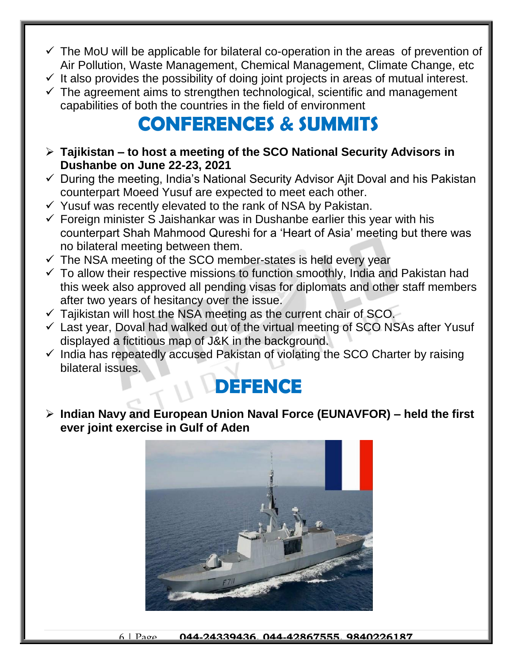- $\checkmark$  The MoU will be applicable for bilateral co-operation in the areas of prevention of Air Pollution, Waste Management, Chemical Management, Climate Change, etc
- $\checkmark$  It also provides the possibility of doing joint projects in areas of mutual interest.
- $\checkmark$  The agreement aims to strengthen technological, scientific and management capabilities of both the countries in the field of environment

#### **CONFERENCES & SUMMITS**

- **Tajikistan – to host a meeting of the SCO National Security Advisors in Dushanbe on June 22-23, 2021**
- $\checkmark$  During the meeting, India's National Security Advisor Ajit Doval and his Pakistan counterpart Moeed Yusuf are expected to meet each other.
- $\checkmark$  Yusuf was recently elevated to the rank of NSA by Pakistan.
- $\checkmark$  Foreign minister S Jaishankar was in Dushanbe earlier this year with his counterpart Shah Mahmood Qureshi for a 'Heart of Asia' meeting but there was no bilateral meeting between them.
- $\checkmark$  The NSA meeting of the SCO member-states is held every year
- $\checkmark$  To allow their respective missions to function smoothly, India and Pakistan had this week also approved all pending visas for diplomats and other staff members after two years of hesitancy over the issue.
- $\checkmark$  Tajikistan will host the NSA meeting as the current chair of SCO.
- $\checkmark$  Last year, Doval had walked out of the virtual meeting of SCO NSAs after Yusuf displayed a fictitious map of J&K in the background.
- $\checkmark$  India has repeatedly accused Pakistan of violating the SCO Charter by raising bilateral issues.

#### **DEFENCE**

 **Indian Navy and European Union Naval Force (EUNAVFOR) – held the first ever joint exercise in Gulf of Aden**

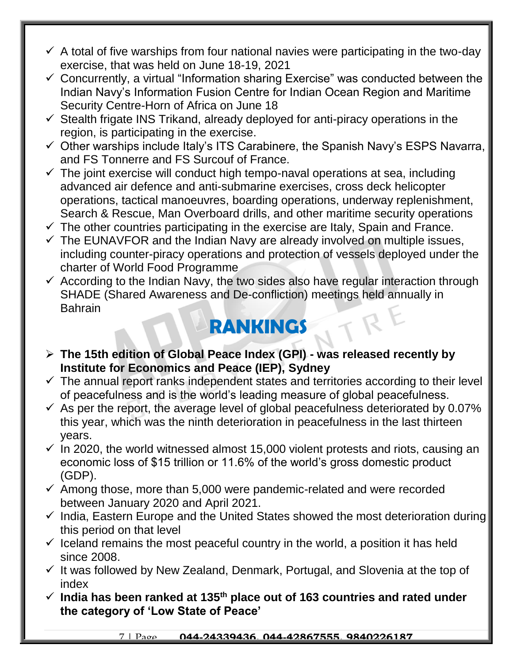- $\checkmark$  A total of five warships from four national navies were participating in the two-day exercise, that was held on June 18-19, 2021
- $\checkmark$  Concurrently, a virtual "Information sharing Exercise" was conducted between the Indian Navy's Information Fusion Centre for Indian Ocean Region and Maritime Security Centre-Horn of Africa on June 18
- $\checkmark$  Stealth frigate INS Trikand, already deployed for anti-piracy operations in the region, is participating in the exercise.
- $\checkmark$  Other warships include Italy's ITS Carabinere, the Spanish Navy's ESPS Navarra, and FS Tonnerre and FS Surcouf of France.
- $\checkmark$  The joint exercise will conduct high tempo-naval operations at sea, including advanced air defence and anti-submarine exercises, cross deck helicopter operations, tactical manoeuvres, boarding operations, underway replenishment, Search & Rescue, Man Overboard drills, and other maritime security operations
- $\checkmark$  The other countries participating in the exercise are Italy, Spain and France.
- $\checkmark$  The EUNAVFOR and the Indian Navy are already involved on multiple issues, including counter-piracy operations and protection of vessels deployed under the charter of World Food Programme
- $\checkmark$  According to the Indian Navy, the two sides also have regular interaction through SHADE (Shared Awareness and De-confliction) meetings held annually in Bahrain

## **RANKINGS**

- **The 15th edition of Global Peace Index (GPI) - was released recently by Institute for Economics and Peace (IEP), Sydney**
- $\checkmark$  The annual report ranks independent states and territories according to their level of peacefulness and is the world's leading measure of global peacefulness.
- $\checkmark$  As per the report, the average level of global peacefulness deteriorated by 0.07% this year, which was the ninth deterioration in peacefulness in the last thirteen years.
- $\checkmark$  In 2020, the world witnessed almost 15,000 violent protests and riots, causing an economic loss of \$15 trillion or 11.6% of the world's gross domestic product (GDP).
- $\checkmark$  Among those, more than 5,000 were pandemic-related and were recorded between January 2020 and April 2021.
- $\checkmark$  India, Eastern Europe and the United States showed the most deterioration during this period on that level
- $\checkmark$  Iceland remains the most peaceful country in the world, a position it has held since 2008.
- $\checkmark$  It was followed by New Zealand, Denmark, Portugal, and Slovenia at the top of index
- **India has been ranked at 135th place out of 163 countries and rated under the category of 'Low State of Peace'**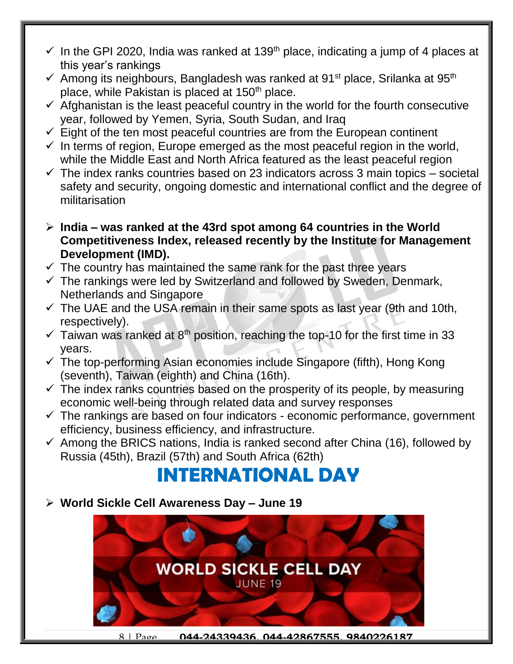- $\checkmark$  In the GPI 2020, India was ranked at 139<sup>th</sup> place, indicating a jump of 4 places at this year's rankings
- $\checkmark$  Among its neighbours, Bangladesh was ranked at 91<sup>st</sup> place, Srilanka at 95<sup>th</sup> place, while Pakistan is placed at 150<sup>th</sup> place.
- $\checkmark$  Afghanistan is the least peaceful country in the world for the fourth consecutive year, followed by Yemen, Syria, South Sudan, and Iraq
- $\checkmark$  Eight of the ten most peaceful countries are from the European continent
- $\checkmark$  In terms of region, Europe emerged as the most peaceful region in the world, while the Middle East and North Africa featured as the least peaceful region
- $\checkmark$  The index ranks countries based on 23 indicators across 3 main topics societal safety and security, ongoing domestic and international conflict and the degree of militarisation
- **India – was ranked at the 43rd spot among 64 countries in the World Competitiveness Index, released recently by the Institute for Management Development (IMD).**
- $\checkmark$  The country has maintained the same rank for the past three years
- $\checkmark$  The rankings were led by Switzerland and followed by Sweden, Denmark, Netherlands and Singapore
- $\checkmark$  The UAE and the USA remain in their same spots as last year (9th and 10th, respectively).
- $\checkmark$  Taiwan was ranked at 8<sup>th</sup> position, reaching the top-10 for the first time in 33 years.
- $\checkmark$  The top-performing Asian economies include Singapore (fifth), Hong Kong (seventh), Taiwan (eighth) and China (16th).
- $\checkmark$  The index ranks countries based on the prosperity of its people, by measuring economic well-being through related data and survey responses
- $\checkmark$  The rankings are based on four indicators economic performance, government efficiency, business efficiency, and infrastructure.
- $\checkmark$  Among the BRICS nations, India is ranked second after China (16), followed by Russia (45th), Brazil (57th) and South Africa (62th)

#### **INTERNATIONAL DAY**

**World Sickle Cell Awareness Day – June 19**

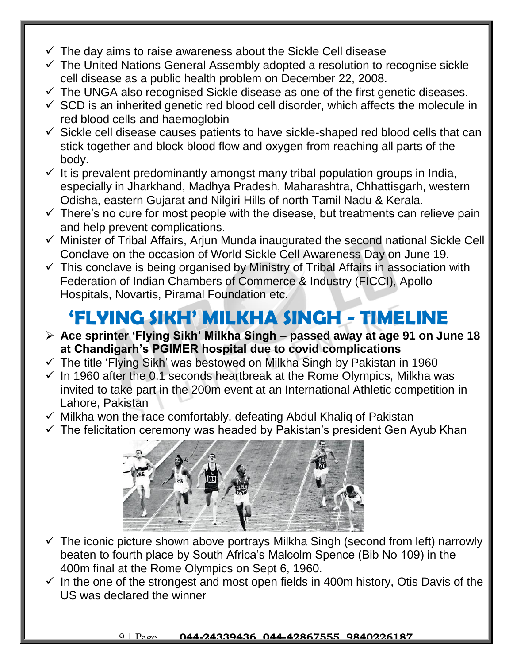- $\checkmark$  The day aims to raise awareness about the Sickle Cell disease
- $\checkmark$  The United Nations General Assembly adopted a resolution to recognise sickle cell disease as a public health problem on December 22, 2008.
- $\checkmark$  The UNGA also recognised Sickle disease as one of the first genetic diseases.
- $\checkmark$  SCD is an inherited genetic red blood cell disorder, which affects the molecule in red blood cells and haemoglobin
- $\checkmark$  Sickle cell disease causes patients to have sickle-shaped red blood cells that can stick together and block blood flow and oxygen from reaching all parts of the body.
- $\checkmark$  It is prevalent predominantly amongst many tribal population groups in India, especially in Jharkhand, Madhya Pradesh, Maharashtra, Chhattisgarh, western Odisha, eastern Gujarat and Nilgiri Hills of north Tamil Nadu & Kerala.
- $\checkmark$  There's no cure for most people with the disease, but treatments can relieve pain and help prevent complications.
- $\checkmark$  Minister of Tribal Affairs, Arjun Munda inaugurated the second national Sickle Cell Conclave on the occasion of World Sickle Cell Awareness Day on June 19.
- $\checkmark$  This conclave is being organised by Ministry of Tribal Affairs in association with Federation of Indian Chambers of Commerce & Industry (FICCI), Apollo Hospitals, Novartis, Piramal Foundation etc.

### **'FLYING SIKH' MILKHA SINGH - TIMELINE**

- **Ace sprinter 'Flying Sikh' Milkha Singh – passed away at age 91 on June 18 at Chandigarh's PGIMER hospital due to covid complications**
- $\checkmark$  The title 'Flying Sikh' was bestowed on Milkha Singh by Pakistan in 1960
- $\checkmark$  In 1960 after the 0.1 seconds heartbreak at the Rome Olympics, Milkha was invited to take part in the 200m event at an International Athletic competition in Lahore, Pakistan
- $\checkmark$  Milkha won the race comfortably, defeating Abdul Khalig of Pakistan
- $\checkmark$  The felicitation ceremony was headed by Pakistan's president Gen Ayub Khan



- $\checkmark$  The iconic picture shown above portrays Milkha Singh (second from left) narrowly beaten to fourth place by South Africa's Malcolm Spence (Bib No 109) in the 400m final at the Rome Olympics on Sept 6, 1960.
- $\checkmark$  In the one of the strongest and most open fields in 400m history, Otis Davis of the US was declared the winner